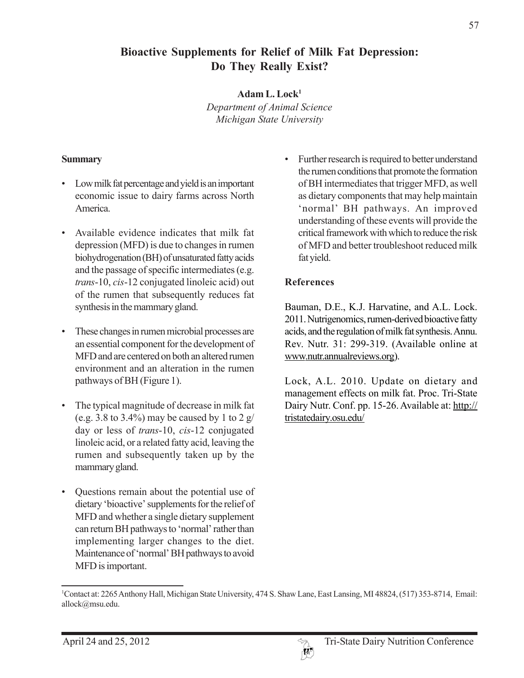## **Bioactive Supplements for Relief of Milk Fat Depression: Do They Really Exist?**

**Adam L. Lock1**

*Department of Animal Science Michigan State University*

## **Summary**

- Low milk fat percentage and yield is an important economic issue to dairy farms across North America.
- Available evidence indicates that milk fat depression (MFD) is due to changes in rumen biohydrogenation (BH) of unsaturated fatty acids and the passage of specific intermediates (e.g. *trans*-10, *cis*-12 conjugated linoleic acid) out of the rumen that subsequently reduces fat synthesis in the mammary gland.
- These changes in rumen microbial processes are an essential component for the development of MFD and are centered on both an altered rumen environment and an alteration in the rumen pathways of BH (Figure 1).
- The typical magnitude of decrease in milk fat (e.g. 3.8 to 3.4%) may be caused by 1 to 2  $g/$ day or less of *trans*-10, *cis*-12 conjugated linoleic acid, or a related fatty acid, leaving the rumen and subsequently taken up by the mammary gland.
- Questions remain about the potential use of dietary 'bioactive' supplements for the relief of MFD and whether a single dietary supplement can return BH pathways to 'normal' rather than implementing larger changes to the diet. Maintenance of 'normal' BH pathways to avoid MFD is important.

• Further research is required to better understand the rumen conditions that promote the formation of BH intermediates that trigger MFD, as well as dietary components that may help maintain 'normal' BH pathways. An improved understanding of these events will provide the critical framework with which to reduce the risk of MFD and better troubleshoot reduced milk fat yield.

## **References**

Bauman, D.E., K.J. Harvatine, and A.L. Lock. 2011. Nutrigenomics, rumen-derived bioactive fatty acids, and the regulation of milk fat synthesis. Annu. Rev. Nutr. 31: 299-319. (Available online at www.nutr.annualreviews.org).

Lock, A.L. 2010. Update on dietary and management effects on milk fat. Proc. Tri-State Dairy Nutr. Conf. pp. 15-26. Available at: http:// tristatedairy.osu.edu/

<sup>1</sup> Contact at: 2265 Anthony Hall, Michigan State University, 474 S. Shaw Lane, East Lansing, MI 48824, (517) 353-8714, Email: allock@msu.edu.